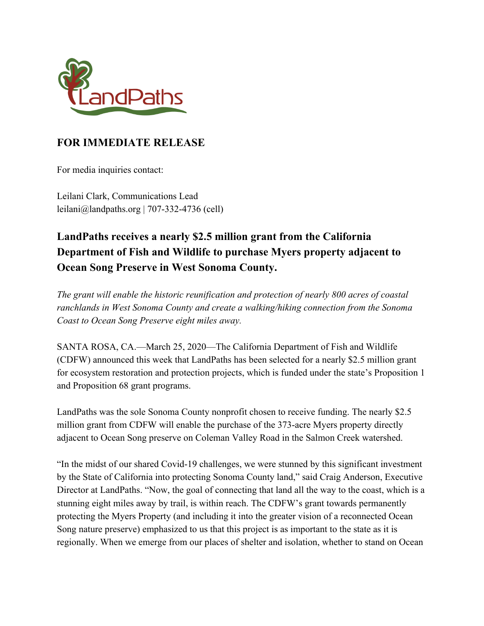

## **FOR IMMEDIATE RELEASE**

For media inquiries contact:

Leilani Clark, Communications Lead leilani@landpaths.org | 707-332-4736 (cell)

## **LandPaths receives a nearly \$2.5 million grant from the California Department of Fish and Wildlife to purchase Myers property adjacent to Ocean Song Preserve in West Sonoma County.**

*The grant will enable the historic reunification and protection of nearly 800 acres of coastal ranchlands in West Sonoma County and create a walking/hiking connection from the Sonoma Coast to Ocean Song Preserve eight miles away.*

SANTA ROSA, CA.—March 25, 2020—The California Department of Fish and Wildlife (CDFW) announced this week that LandPaths has been selected for a nearly \$2.5 million grant for ecosystem restoration and protection projects, which is funded under the state's Proposition 1 and Proposition 68 grant programs.

LandPaths was the sole Sonoma County nonprofit chosen to receive funding. The nearly \$2.5 million grant from CDFW will enable the purchase of the 373-acre Myers property directly adjacent to Ocean Song preserve on Coleman Valley Road in the Salmon Creek watershed.

"In the midst of our shared Covid-19 challenges, we were stunned by this significant investment by the State of California into protecting Sonoma County land," said Craig Anderson, Executive Director at LandPaths. "Now, the goal of connecting that land all the way to the coast, which is a stunning eight miles away by trail, is within reach. The CDFW's grant towards permanently protecting the Myers Property (and including it into the greater vision of a reconnected Ocean Song nature preserve) emphasized to us that this project is as important to the state as it is regionally. When we emerge from our places of shelter and isolation, whether to stand on Ocean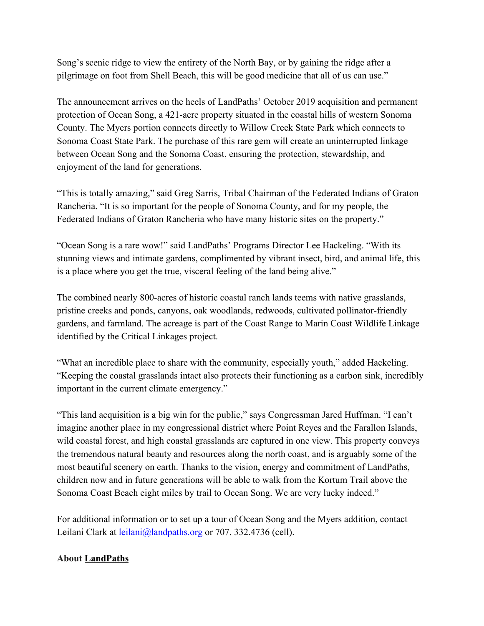Song's scenic ridge to view the entirety of the North Bay, or by gaining the ridge after a pilgrimage on foot from Shell Beach, this will be good medicine that all of us can use."

The announcement arrives on the heels of LandPaths' October 2019 acquisition and permanent protection of Ocean Song, a 421-acre property situated in the coastal hills of western Sonoma County. The Myers portion connects directly to Willow Creek State Park which connects to Sonoma Coast State Park. The purchase of this rare gem will create an uninterrupted linkage between Ocean Song and the Sonoma Coast, ensuring the protection, stewardship, and enjoyment of the land for generations.

"This is totally amazing," said Greg Sarris, Tribal Chairman of the Federated Indians of Graton Rancheria. "It is so important for the people of Sonoma County, and for my people, the Federated Indians of Graton Rancheria who have many historic sites on the property."

"Ocean Song is a rare wow!" said LandPaths' Programs Director Lee Hackeling. "With its stunning views and intimate gardens, complimented by vibrant insect, bird, and animal life, this is a place where you get the true, visceral feeling of the land being alive."

The combined nearly 800-acres of historic coastal ranch lands teems with native grasslands, pristine creeks and ponds, canyons, oak woodlands, redwoods, cultivated pollinator-friendly gardens, and farmland. The acreage is part of the Coast Range to Marin Coast Wildlife Linkage identified by the Critical Linkages project.

"What an incredible place to share with the community, especially youth," added Hackeling. "Keeping the coastal grasslands intact also protects their functioning as a carbon sink, incredibly important in the current climate emergency."

"This land acquisition is a big win for the public," says Congressman Jared Huffman. "I can't imagine another place in my congressional district where Point Reyes and the Farallon Islands, wild coastal forest, and high coastal grasslands are captured in one view. This property conveys the tremendous natural beauty and resources along the north coast, and is arguably some of the most beautiful scenery on earth. Thanks to the vision, energy and commitment of LandPaths, children now and in future generations will be able to walk from the Kortum Trail above the Sonoma Coast Beach eight miles by trail to Ocean Song. We are very lucky indeed."

For additional information or to set up a tour of Ocean Song and the Myers addition, contact Leilani Clark at leilani@landpaths.org or 707. 332.4736 (cell).

## **Abou[t](http://www.landpaths.org./) [LandPaths](http://www.landpaths.org./)**